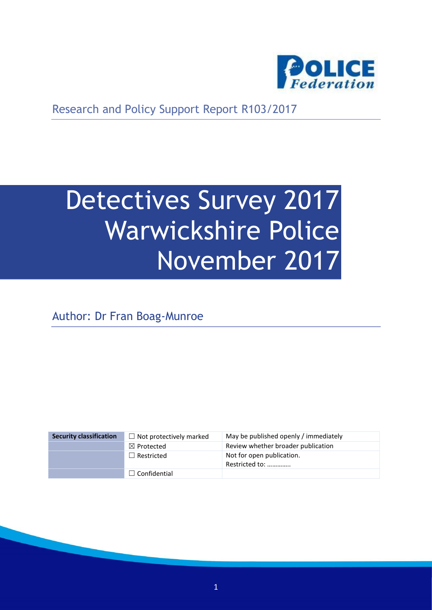

Research and Policy Support Report R103/2017

# Detectives Survey 2017 Warwickshire Police November 2017

Author: Dr Fran Boag-Munroe

| <b>Security classification</b> | $\Box$ Not protectively marked | May be published openly / immediately       |
|--------------------------------|--------------------------------|---------------------------------------------|
|                                | $\boxtimes$ Protected          | Review whether broader publication          |
|                                | $\Box$ Restricted              | Not for open publication.<br>Restricted to: |
|                                | $\Box$ Confidential            |                                             |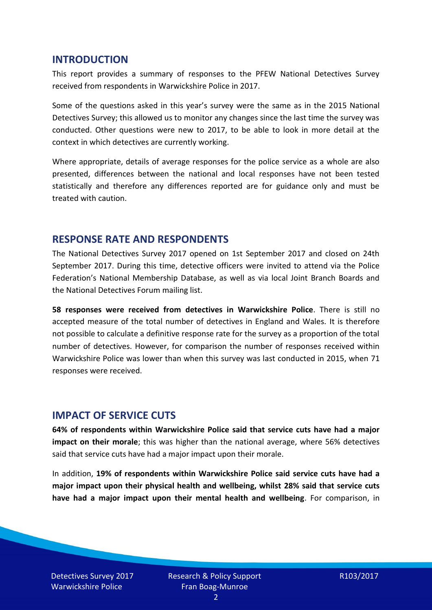#### **INTRODUCTION**

This report provides a summary of responses to the PFEW National Detectives Survey received from respondents in Warwickshire Police in 2017.

Some of the questions asked in this year's survey were the same as in the 2015 National Detectives Survey; this allowed us to monitor any changes since the last time the survey was conducted. Other questions were new to 2017, to be able to look in more detail at the context in which detectives are currently working.

Where appropriate, details of average responses for the police service as a whole are also presented, differences between the national and local responses have not been tested statistically and therefore any differences reported are for guidance only and must be treated with caution.

#### **RESPONSE RATE AND RESPONDENTS**

The National Detectives Survey 2017 opened on 1st September 2017 and closed on 24th September 2017. During this time, detective officers were invited to attend via the Police Federation's National Membership Database, as well as via local Joint Branch Boards and the National Detectives Forum mailing list.

**58 responses were received from detectives in Warwickshire Police**. There is still no accepted measure of the total number of detectives in England and Wales. It is therefore not possible to calculate a definitive response rate for the survey as a proportion of the total number of detectives. However, for comparison the number of responses received within Warwickshire Police was lower than when this survey was last conducted in 2015, when 71 responses were received.

#### **IMPACT OF SERVICE CUTS**

**64% of respondents within Warwickshire Police said that service cuts have had a major impact on their morale**; this was higher than the national average, where 56% detectives said that service cuts have had a major impact upon their morale.

In addition, **19% of respondents within Warwickshire Police said service cuts have had a major impact upon their physical health and wellbeing, whilst 28% said that service cuts have had a major impact upon their mental health and wellbeing**. For comparison, in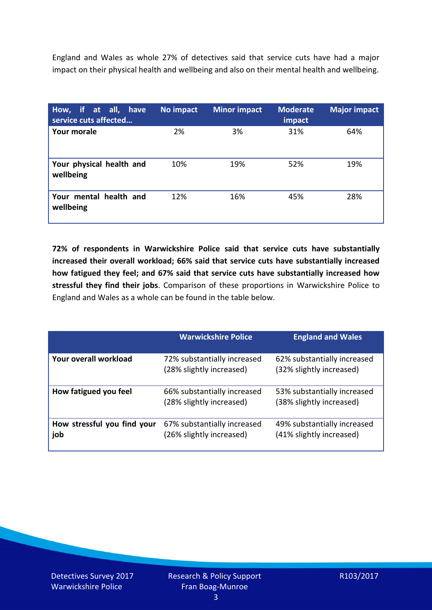England and Wales as whole 27% of detectives said that service cuts have had a major impact on their physical health and wellbeing and also on their mental health and wellbeing.

| How, if at all, have<br>service cuts affected | No impact | <b>Minor impact</b> | <b>Moderate</b><br>impact | <b>Major impact</b> |
|-----------------------------------------------|-----------|---------------------|---------------------------|---------------------|
| <b>Your morale</b>                            | 2%        | 3%                  | 31%                       | 64%                 |
| Your physical health and<br>wellbeing         | 10%       | 19%                 | 52%                       | 19%                 |
| Your mental health and<br>wellbeing           | 12%       | 16%                 | 45%                       | 28%                 |

**72% of respondents in Warwickshire Police said that service cuts have substantially increased their overall workload; 66% said that service cuts have substantially increased how fatigued they feel; and 67% said that service cuts have substantially increased how stressful they find their jobs**. Comparison of these proportions in Warwickshire Police to England and Wales as a whole can be found in the table below.

|                                    | <b>Warwickshire Police</b>                              | <b>England and Wales</b>                                |
|------------------------------------|---------------------------------------------------------|---------------------------------------------------------|
| Your overall workload              | 72% substantially increased<br>(28% slightly increased) | 62% substantially increased<br>(32% slightly increased) |
| How fatigued you feel              | 66% substantially increased<br>(28% slightly increased) | 53% substantially increased<br>(38% slightly increased) |
| How stressful you find your<br>job | 67% substantially increased<br>(26% slightly increased) | 49% substantially increased<br>(41% slightly increased) |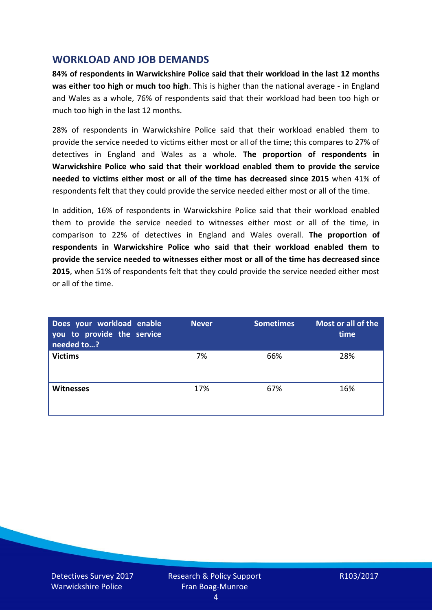## **WORKLOAD AND JOB DEMANDS**

**84% of respondents in Warwickshire Police said that their workload in the last 12 months was either too high or much too high**. This is higher than the national average - in England and Wales as a whole, 76% of respondents said that their workload had been too high or much too high in the last 12 months.

28% of respondents in Warwickshire Police said that their workload enabled them to provide the service needed to victims either most or all of the time; this compares to 27% of detectives in England and Wales as a whole. **The proportion of respondents in Warwickshire Police who said that their workload enabled them to provide the service needed to victims either most or all of the time has decreased since 2015** when 41% of respondents felt that they could provide the service needed either most or all of the time.

In addition, 16% of respondents in Warwickshire Police said that their workload enabled them to provide the service needed to witnesses either most or all of the time, in comparison to 22% of detectives in England and Wales overall. **The proportion of respondents in Warwickshire Police who said that their workload enabled them to provide the service needed to witnesses either most or all of the time has decreased since 2015**, when 51% of respondents felt that they could provide the service needed either most or all of the time.

| Does your workload enable<br>you to provide the service<br>needed to? | <b>Never</b> | <b>Sometimes</b> | Most or all of the<br>time |
|-----------------------------------------------------------------------|--------------|------------------|----------------------------|
| <b>Victims</b>                                                        | 7%           | 66%              | 28%                        |
| <b>Witnesses</b>                                                      | 17%          | 67%              | 16%                        |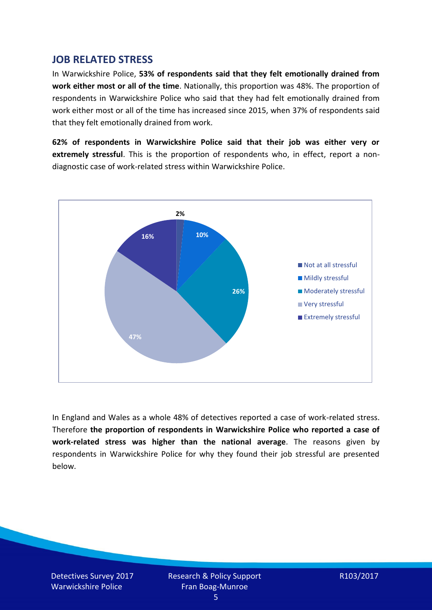## **JOB RELATED STRESS**

In Warwickshire Police, **53% of respondents said that they felt emotionally drained from work either most or all of the time**. Nationally, this proportion was 48%. The proportion of respondents in Warwickshire Police who said that they had felt emotionally drained from work either most or all of the time has increased since 2015, when 37% of respondents said that they felt emotionally drained from work.

**62% of respondents in Warwickshire Police said that their job was either very or extremely stressful**. This is the proportion of respondents who, in effect, report a nondiagnostic case of work-related stress within Warwickshire Police.



In England and Wales as a whole 48% of detectives reported a case of work-related stress. Therefore **the proportion of respondents in Warwickshire Police who reported a case of work-related stress was higher than the national average**. The reasons given by respondents in Warwickshire Police for why they found their job stressful are presented below.

Detectives Survey 2017 Warwickshire Police

Research & Policy Support Fran Boag-Munroe

R103/2017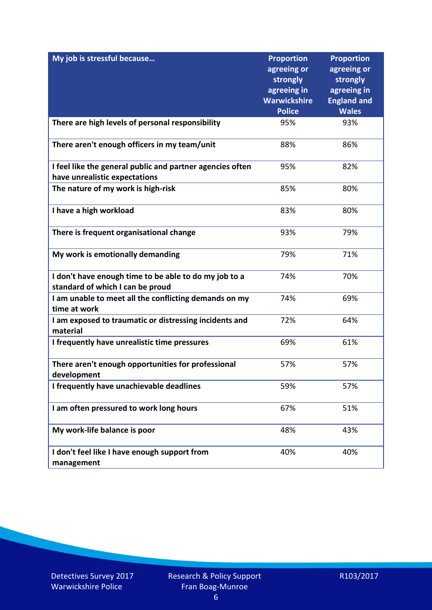| My job is stressful because                                                                | <b>Proportion</b><br>agreeing or<br>strongly<br>agreeing in<br><b>Warwickshire</b> | <b>Proportion</b><br>agreeing or<br>strongly<br>agreeing in<br><b>England and</b> |
|--------------------------------------------------------------------------------------------|------------------------------------------------------------------------------------|-----------------------------------------------------------------------------------|
|                                                                                            | <b>Police</b>                                                                      | <b>Wales</b>                                                                      |
| There are high levels of personal responsibility                                           | 95%                                                                                | 93%                                                                               |
| There aren't enough officers in my team/unit                                               | 88%                                                                                | 86%                                                                               |
| I feel like the general public and partner agencies often<br>have unrealistic expectations | 95%                                                                                | 82%                                                                               |
| The nature of my work is high-risk                                                         | 85%                                                                                | 80%                                                                               |
| I have a high workload                                                                     | 83%                                                                                | 80%                                                                               |
| There is frequent organisational change                                                    | 93%                                                                                | 79%                                                                               |
| My work is emotionally demanding                                                           | 79%                                                                                | 71%                                                                               |
| I don't have enough time to be able to do my job to a<br>standard of which I can be proud  | 74%                                                                                | 70%                                                                               |
| I am unable to meet all the conflicting demands on my<br>time at work                      | 74%                                                                                | 69%                                                                               |
| I am exposed to traumatic or distressing incidents and<br>material                         | 72%                                                                                | 64%                                                                               |
| I frequently have unrealistic time pressures                                               | 69%                                                                                | 61%                                                                               |
| There aren't enough opportunities for professional<br>development                          | 57%                                                                                | 57%                                                                               |
| I frequently have unachievable deadlines                                                   | 59%                                                                                | 57%                                                                               |
| I am often pressured to work long hours                                                    | 67%                                                                                | 51%                                                                               |
| My work-life balance is poor                                                               | 48%                                                                                | 43%                                                                               |
| I don't feel like I have enough support from<br>management                                 | 40%                                                                                | 40%                                                                               |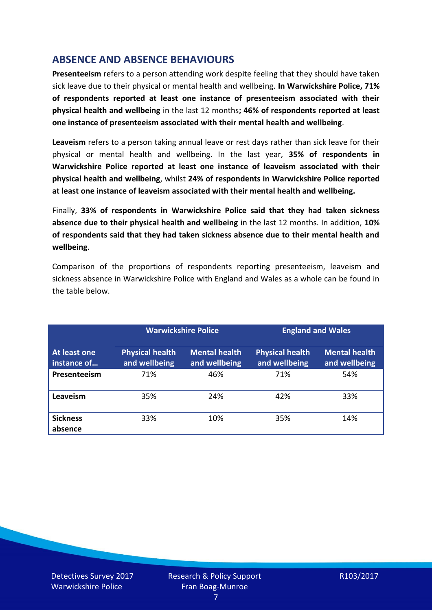# **ABSENCE AND ABSENCE BEHAVIOURS**

**Presenteeism** refers to a person attending work despite feeling that they should have taken sick leave due to their physical or mental health and wellbeing. **In Warwickshire Police, 71% of respondents reported at least one instance of presenteeism associated with their physical health and wellbeing** in the last 12 months**; 46% of respondents reported at least one instance of presenteeism associated with their mental health and wellbeing**.

**Leaveism** refers to a person taking annual leave or rest days rather than sick leave for their physical or mental health and wellbeing. In the last year, **35% of respondents in Warwickshire Police reported at least one instance of leaveism associated with their physical health and wellbeing**, whilst **24% of respondents in Warwickshire Police reported at least one instance of leaveism associated with their mental health and wellbeing.**

Finally, **33% of respondents in Warwickshire Police said that they had taken sickness absence due to their physical health and wellbeing** in the last 12 months. In addition, **10% of respondents said that they had taken sickness absence due to their mental health and wellbeing**.

Comparison of the proportions of respondents reporting presenteeism, leaveism and sickness absence in Warwickshire Police with England and Wales as a whole can be found in the table below.

|                                    |                                         | <b>Warwickshire Police</b>            |                                         | <b>England and Wales</b>              |
|------------------------------------|-----------------------------------------|---------------------------------------|-----------------------------------------|---------------------------------------|
| <b>At least one</b><br>instance of | <b>Physical health</b><br>and wellbeing | <b>Mental health</b><br>and wellbeing | <b>Physical health</b><br>and wellbeing | <b>Mental health</b><br>and wellbeing |
| Presenteeism                       | 71%                                     | 46%                                   | 71%                                     | 54%                                   |
| Leaveism                           | 35%                                     | 24%                                   | 42%                                     | 33%                                   |
| <b>Sickness</b><br>absence         | 33%                                     | 10%                                   | 35%                                     | 14%                                   |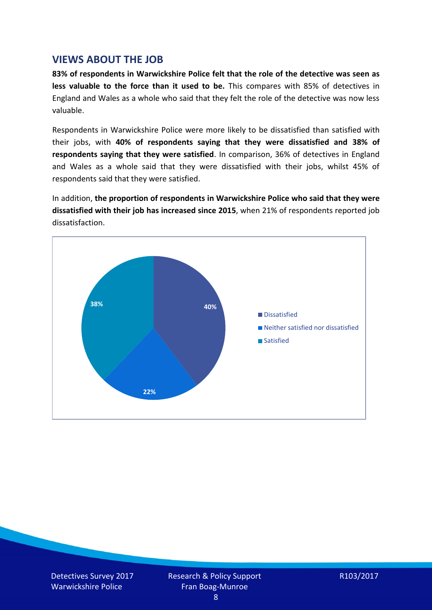## **VIEWS ABOUT THE JOB**

**83% of respondents in Warwickshire Police felt that the role of the detective was seen as less valuable to the force than it used to be.** This compares with 85% of detectives in England and Wales as a whole who said that they felt the role of the detective was now less valuable.

Respondents in Warwickshire Police were more likely to be dissatisfied than satisfied with their jobs, with **40% of respondents saying that they were dissatisfied and 38% of respondents saying that they were satisfied**. In comparison, 36% of detectives in England and Wales as a whole said that they were dissatisfied with their jobs, whilst 45% of respondents said that they were satisfied.

In addition, **the proportion of respondents in Warwickshire Police who said that they were dissatisfied with their job has increased since 2015**, when 21% of respondents reported job dissatisfaction.



Detectives Survey 2017 Warwickshire Police

Research & Policy Support Fran Boag-Munroe

R103/2017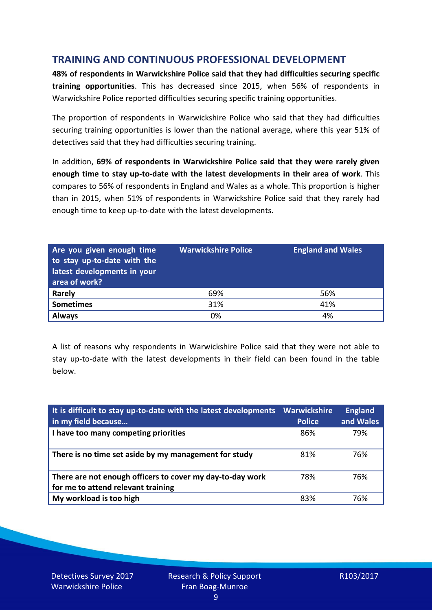# **TRAINING AND CONTINUOUS PROFESSIONAL DEVELOPMENT**

**48% of respondents in Warwickshire Police said that they had difficulties securing specific training opportunities**. This has decreased since 2015, when 56% of respondents in Warwickshire Police reported difficulties securing specific training opportunities.

The proportion of respondents in Warwickshire Police who said that they had difficulties securing training opportunities is lower than the national average, where this year 51% of detectives said that they had difficulties securing training.

In addition, **69% of respondents in Warwickshire Police said that they were rarely given enough time to stay up-to-date with the latest developments in their area of work**. This compares to 56% of respondents in England and Wales as a whole. This proportion is higher than in 2015, when 51% of respondents in Warwickshire Police said that they rarely had enough time to keep up-to-date with the latest developments.

| Are you given enough time<br>to stay up-to-date with the<br>latest developments in your<br>area of work? | <b>Warwickshire Police</b> | <b>England and Wales</b> |
|----------------------------------------------------------------------------------------------------------|----------------------------|--------------------------|
| <b>Rarely</b>                                                                                            | 69%                        | 56%                      |
| <b>Sometimes</b>                                                                                         | 31%                        | 41%                      |
| <b>Always</b>                                                                                            | 0%                         | 4%                       |

A list of reasons why respondents in Warwickshire Police said that they were not able to stay up-to-date with the latest developments in their field can been found in the table below.

| It is difficult to stay up-to-date with the latest developments<br>in my field because          | <b>Warwickshire</b><br><b>Police</b> | <b>England</b><br>and Wales |
|-------------------------------------------------------------------------------------------------|--------------------------------------|-----------------------------|
| I have too many competing priorities                                                            | 86%                                  | 79%                         |
| There is no time set aside by my management for study                                           | 81%                                  | 76%                         |
| There are not enough officers to cover my day-to-day work<br>for me to attend relevant training | 78%                                  | 76%                         |
| My workload is too high                                                                         | 83%                                  | 76%                         |

Detectives Survey 2017 Warwickshire Police

Research & Policy Support Fran Boag-Munroe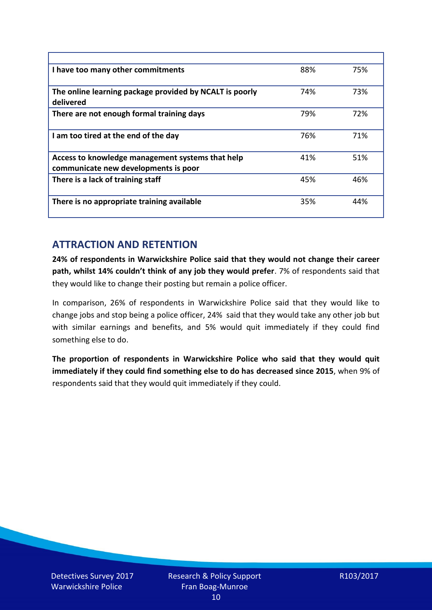| I have too many other commitments                                                        | 88% | 75% |
|------------------------------------------------------------------------------------------|-----|-----|
| The online learning package provided by NCALT is poorly<br>delivered                     | 74% | 73% |
| There are not enough formal training days                                                | 79% | 72% |
| I am too tired at the end of the day                                                     | 76% | 71% |
| Access to knowledge management systems that help<br>communicate new developments is poor | 41% | 51% |
| There is a lack of training staff                                                        | 45% | 46% |
| There is no appropriate training available                                               | 35% | 44% |

# **ATTRACTION AND RETENTION**

**24% of respondents in Warwickshire Police said that they would not change their career path, whilst 14% couldn't think of any job they would prefer**. 7% of respondents said that they would like to change their posting but remain a police officer.

In comparison, 26% of respondents in Warwickshire Police said that they would like to change jobs and stop being a police officer, 24% said that they would take any other job but with similar earnings and benefits, and 5% would quit immediately if they could find something else to do.

**The proportion of respondents in Warwickshire Police who said that they would quit immediately if they could find something else to do has decreased since 2015**, when 9% of respondents said that they would quit immediately if they could.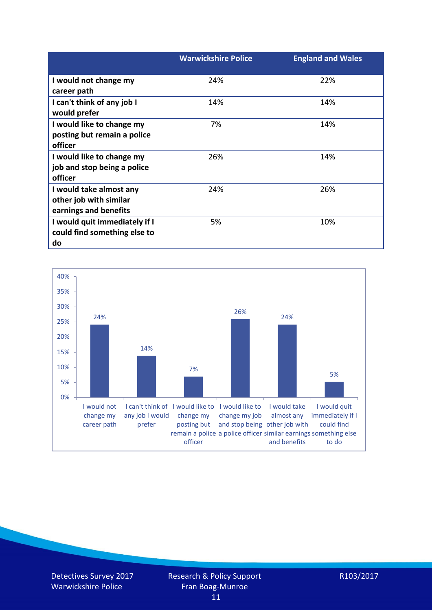|                               | <b>Warwickshire Police</b> | <b>England and Wales</b> |
|-------------------------------|----------------------------|--------------------------|
| I would not change my         | 24%                        | 22%                      |
| career path                   |                            |                          |
| I can't think of any job I    | 14%                        | 14%                      |
| would prefer                  |                            |                          |
| I would like to change my     | 7%                         | 14%                      |
| posting but remain a police   |                            |                          |
| officer                       |                            |                          |
| I would like to change my     | 26%                        | 14%                      |
| job and stop being a police   |                            |                          |
| officer                       |                            |                          |
| I would take almost any       | 24%                        | 26%                      |
| other job with similar        |                            |                          |
| earnings and benefits         |                            |                          |
| I would quit immediately if I | 5%                         | 10%                      |
| could find something else to  |                            |                          |
| do                            |                            |                          |



Detectives Survey 2017 Warwickshire Police

R103/2017